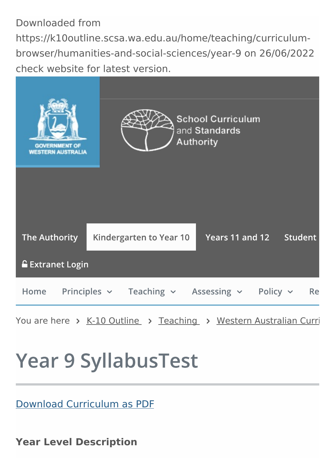Downloaded from https://k10outline.scsa.wa.edu.au/home/teaching/curriculumbrowser/humanities-and-social-sciences/year-9 on 26/06/2022 check website for latest version.



# **Year 9 SyllabusTest**

Download [Curriculum](https://k10outline.scsa.wa.edu.au/__data/print-to-pdf/api.php?url=https://k10outline.scsa.wa.edu.au/home/teaching/curriculum-browser/humanities-and-social-sciences/year-9) as PDF

**Year Level Description**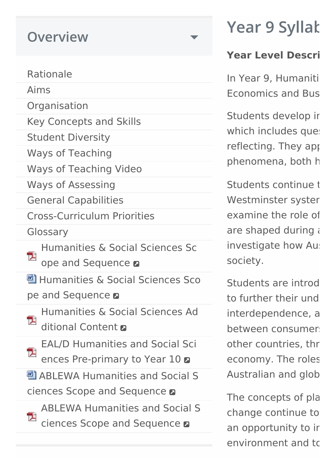# **Overview**

#### [Rationale](https://k10outline.scsa.wa.edu.au/home/teaching/curriculum-browser/humanities-and-social-sciences/humanities-overview/rationale)

[Aims](https://k10outline.scsa.wa.edu.au/home/teaching/curriculum-browser/humanities-and-social-sciences/humanities-overview/aims)

**[Organisation](https://k10outline.scsa.wa.edu.au/home/teaching/curriculum-browser/humanities-and-social-sciences/humanities-overview/organisation)** 

Key [Concepts](https://k10outline.scsa.wa.edu.au/home/teaching/curriculum-browser/humanities-and-social-sciences/humanities-overview/key-concepts-and-skills) and Skills

Student [Diversity](https://k10outline.scsa.wa.edu.au/home/teaching/curriculum-browser/humanities-and-social-sciences/humanities-overview/student-diversity)

Ways of [Teaching](https://k10outline.scsa.wa.edu.au/home/teaching/curriculum-browser/humanities-and-social-sciences/humanities-overview/ways-of-teaching)

Ways of [Teaching](https://k10outline.scsa.wa.edu.au/home/teaching/curriculum-browser/humanities-and-social-sciences/humanities-overview/ways-of-teaching-video) Video

Ways of [Assessing](https://k10outline.scsa.wa.edu.au/home/teaching/curriculum-browser/humanities-and-social-sciences/humanities-overview/ways-of-assessing)

General [Capabilities](https://k10outline.scsa.wa.edu.au/home/teaching/curriculum-browser/humanities-and-social-sciences/humanities-overview/general-capabilities)

[Cross-Curriculum](https://k10outline.scsa.wa.edu.au/home/teaching/curriculum-browser/humanities-and-social-sciences/humanities-overview/cross-curriculum-priorities) Priorities

[Glossary](https://k10outline.scsa.wa.edu.au/home/teaching/curriculum-browser/humanities-and-social-sciences/humanities-overview/glossary)

[Humanities](https://k10outline.scsa.wa.edu.au/__data/assets/pdf_file/0020/24833/Humanities-and-Social-Sciences_HASS_P-10_Scope-and-Sequence_March_2016.pdf) & Social Sciences Sc 卫 ope and Sequence **a** 

**型 [Humanities](https://k10outline.scsa.wa.edu.au/__data/assets/word_doc/0007/422953/Humanities-and-Social-Sciences_HASS_P-10_Scope-and-Sequence_Phase_1_March_2016.DOCX) & Social Sciences Sco** 

pe and Sequence **a** 

[Humanities](https://k10outline.scsa.wa.edu.au/home/teaching/curriculum-browser/humanities-and-social-sciences/humanities-overview/Humanities-and-Social-Sciences-P-10-Additional-Content.pdf) & Social Sciences Ad 卫 ditional Content

EAL/D Humanities and Social Sci 卫 ences [Pre-primary](https://k10outline.scsa.wa.edu.au/__data/assets/pdf_file/0006/142809/EALD-HASS-Pre-primary-to-Year-10.pdf) to Year 10  $\alpha$ 

**四 ABLEWA [Humanities](https://k10outline.scsa.wa.edu.au/__data/assets/word_doc/0019/663310/Humanities_and_Social_Sciences_ABLEWA_Scope_and_Sequence.DOCX) and Social S** ciences Scope and Sequence  $\blacksquare$ 

ABLEWA [Humanities](https://k10outline.scsa.wa.edu.au/__data/assets/pdf_file/0020/663311/Humanities_and_Social_Sciences_ABLEWA_Scope_and_Sequence.pdf) and Social S 包 ciences Scope and Sequence  $\blacksquare$ 

# **Year 9 Syllak**

# **Year Level Description**

In Year 9, Humaniti Economics and Busi

Students develop ir which includes questioning reflecting. They app phenomena, both h

Students continue to Westminster syster examine the role of are shaped during and an investigate how Aust society.

Students are introduced to further their und interdependence, a between consumer other countries, thr economy. The roles Australian and glob

The concepts of pla change continue to an opportunity to ir environment and to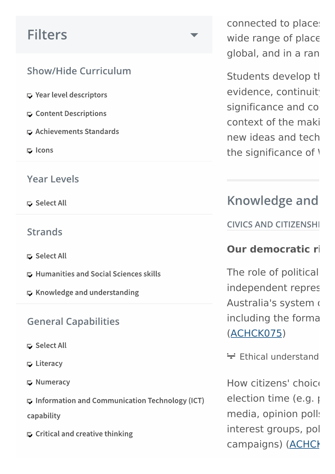# **Filters**

### **Show/Hide Curriculum**

- $\Gamma$  Year level descriptors
- **E.** Content Descriptions
- **E** Achievements Standards
- $\Box$  Icons

#### Year Levels

G Select All

#### **Strands**

- G Select All
- **E. Humanities and Social Sciences skills**
- $\Box$  Knowledge and understanding

#### **General Capabilities**

- **□** Select All
- $\Box$  Literacy
- Mumeracy

 $\Box$  Information and Communication Technology (ICT)

capability

 $\Gamma$  Critical and creative thinking

connected to place: wide range of place global, and in a ran

Students develop th evidence, continuit significance and co context of the maki new ideas and tech the significance of  $\overline{V}$ 

# **Knowledge and**

**CIVICS AND CITIZENSHI** 

#### **Our** democratic rights

The role of political independent repres Australia's system of including the forma [\(ACHCK075\)](http://www.scootle.edu.au/ec/search?accContentId=ACHCK075)

 $\div$  Ethical understand

How citizens' choice election time (e.g.  $\mu$ media, opinion polls interest groups, pol campaigns) (ACHCH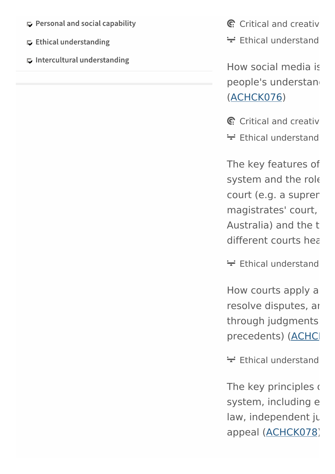- $\Box$  Personal and social capability
- $\Box$  Ethical understanding
- $\Box$  Intercultural understanding

 $C$  Critical and [creative](https://k10outline.scsa.wa.edu.au/home/teaching/curriculum-browser/humanities-and-social-sciences/year-9#)

 $\div$  Ethical understand

How social media is people's understand [\(ACHCK076\)](http://www.scootle.edu.au/ec/search?accContentId=ACHCK076)

 $C$  Critical and [creative](https://k10outline.scsa.wa.edu.au/home/teaching/curriculum-browser/humanities-and-social-sciences/year-9#)

 $\div$  Ethical understand

The key features of system and the role court (e.g. a suprer magistrates' court, Australia) and the type different courts hear

 $\div$  Ethical understand

How courts apply a resolve disputes, and through judgments precedents) (ACHC

 $\div$  Ethical understand

The key principles  $\epsilon$ system, including e law, independent ju appeal [\(ACHCK078\)](http://www.scootle.edu.au/ec/search?accContentId=ACHCK078)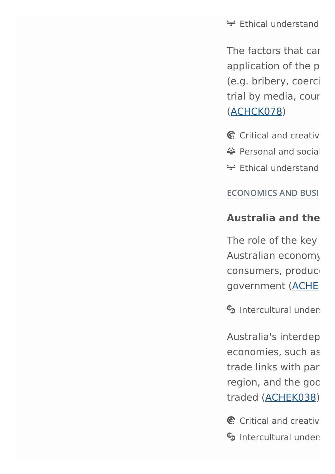$\div$  Ethical understand

The factors that can application of the p (e.g. bribery, coerci trial by media, cour [\(ACHCK078\)](http://www.scootle.edu.au/ec/search?accContentId=ACHCK078)

- $C$  Critical and [creative](https://k10outline.scsa.wa.edu.au/home/teaching/curriculum-browser/humanities-and-social-sciences/year-9#)
- ₩ Personal and social
- $\div$  Ethical understand

#### **ECONOMICS AND BUSI**

#### **Australia and the global economy**

The role of the key Australian economy consumers, produce government (ACHE

 $S<sub>3</sub>$  Intercultural [understanding](https://k10outline.scsa.wa.edu.au/home/teaching/curriculum-browser/humanities-and-social-sciences/year-9#)

Australia's interdep economies, such as trade links with par region, and the goc traded [\(ACHEK038\)](http://www.scootle.edu.au/ec/search?accContentId=ACHEK038)

 $C$  Critical and [creative](https://k10outline.scsa.wa.edu.au/home/teaching/curriculum-browser/humanities-and-social-sciences/year-9#)  $S<sub>o</sub>$  Intercultural [understanding](https://k10outline.scsa.wa.edu.au/home/teaching/curriculum-browser/humanities-and-social-sciences/year-9#)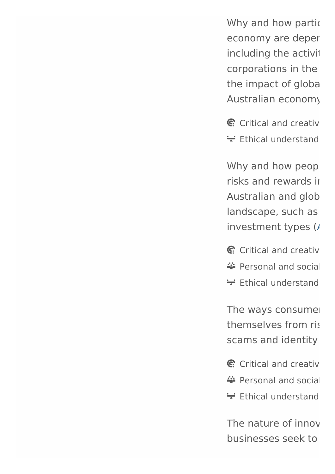Why and how partic economy are deper including the activit corporations in the the impact of global Australian economy (

 $C$  Critical and [creative](https://k10outline.scsa.wa.edu.au/home/teaching/curriculum-browser/humanities-and-social-sciences/year-9#)  $\div$  Ethical understand

Why and how peop risks and rewards in Australian and glob landscape, such as investment types  $(*I*)$ 

- $C$  Critical and [creative](https://k10outline.scsa.wa.edu.au/home/teaching/curriculum-browser/humanities-and-social-sciences/year-9#)
- $\ddot{\bullet}$  Personal and social
- $\div$  Ethical understand

The ways consumer themselves from risk scams and identity

- $C$  Critical and [creative](https://k10outline.scsa.wa.edu.au/home/teaching/curriculum-browser/humanities-and-social-sciences/year-9#)
- $\ddot{\bullet}$  Personal and social
- $\div$  Ethical understand

The nature of innov businesses seek to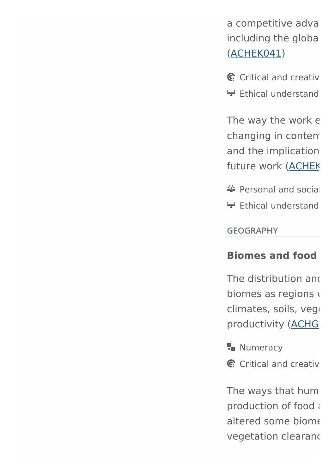a competitive adva including the globa [\(ACHEK041\)](http://www.scootle.edu.au/ec/search?accContentId=ACHEK041)

- $C$  Critical and [creative](https://k10outline.scsa.wa.edu.au/home/teaching/curriculum-browser/humanities-and-social-sciences/year-9#)
- $\div$  Ethical understand

The way the work  $\epsilon$ changing in contem and the implication future work (ACHEK

- $\ddot{\bullet}$  Personal and social
- $\div$  Ethical understand

**GEOGRAPHY** 

#### **Biomes** and **food**

The distribution and biomes as regions  $\sqrt{ }$ climates, soils, vege productivity (ACHG

 $\frac{\pi}{12}$  [Numeracy](https://k10outline.scsa.wa.edu.au/home/teaching/curriculum-browser/humanities-and-social-sciences/year-9#)

 $C$  Critical and [creative](https://k10outline.scsa.wa.edu.au/home/teaching/curriculum-browser/humanities-and-social-sciences/year-9#)

The ways that hum production of food a altered some biome vegetation clearand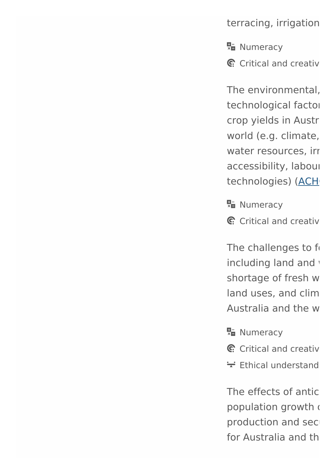terracing, irrigation

**R<sub>E</sub>** [Numeracy](https://k10outline.scsa.wa.edu.au/home/teaching/curriculum-browser/humanities-and-social-sciences/year-9#)

 $C$ : Critical and [creative](https://k10outline.scsa.wa.edu.au/home/teaching/curriculum-browser/humanities-and-social-sciences/year-9#)

The environmental. technological factor crop yields in Austr world (e.g. climate, water resources, irrigation accessibility, labour technologies) (ACH

 $\frac{\mathbf{E} - \mathbf{E}}{|\mathbf{E}|}$  [Numeracy](https://k10outline.scsa.wa.edu.au/home/teaching/curriculum-browser/humanities-and-social-sciences/year-9#)

 $C$  Critical and [creative](https://k10outline.scsa.wa.edu.au/home/teaching/curriculum-browser/humanities-and-social-sciences/year-9#)

The challenges to fo including land and v shortage of fresh w land uses, and clim Australia and the w

**R<sub>E</sub>** [Numeracy](https://k10outline.scsa.wa.edu.au/home/teaching/curriculum-browser/humanities-and-social-sciences/year-9#)

- $C$  Critical and [creative](https://k10outline.scsa.wa.edu.au/home/teaching/curriculum-browser/humanities-and-social-sciences/year-9#)
- $\div$  Ethical understand

The effects of antic population growth a production and secfor Australia and the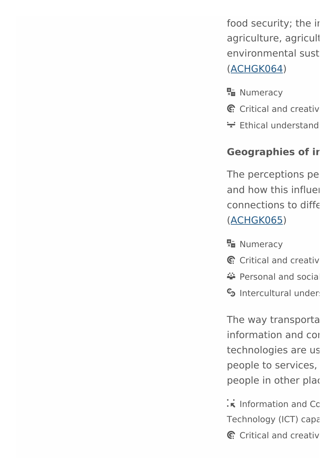food security; the ir agriculture, agricult environmental sust [\(ACHGK064\)](http://www.scootle.edu.au/ec/search?accContentId=ACHGK064)

- **R<sub>E</sub>** [Numeracy](https://k10outline.scsa.wa.edu.au/home/teaching/curriculum-browser/humanities-and-social-sciences/year-9#)
- G. Critical and [creative](https://k10outline.scsa.wa.edu.au/home/teaching/curriculum-browser/humanities-and-social-sciences/year-9#)
- $\div$  Ethical understand

#### **Geographies of ir**

The perceptions pe and how this influe connections to differ [\(ACHGK065\)](http://www.scootle.edu.au/ec/search?accContentId=ACHGK065)

- **H** [Numeracy](https://k10outline.scsa.wa.edu.au/home/teaching/curriculum-browser/humanities-and-social-sciences/year-9#)
- $C$  Critical and [creative](https://k10outline.scsa.wa.edu.au/home/teaching/curriculum-browser/humanities-and-social-sciences/year-9#)
- $\ddot{\bullet}$  Personal and social
- $S<sub>3</sub>$  Intercultural [understanding](https://k10outline.scsa.wa.edu.au/home/teaching/curriculum-browser/humanities-and-social-sciences/year-9#)

The way transporta information and contechnologies are us people to services, people in other plac

- $\cdot \cdot$  Information and [Communication](https://k10outline.scsa.wa.edu.au/home/teaching/curriculum-browser/humanities-and-social-sciences/year-9#) Technology (ICT) capa
- $C$  Critical and [creative](https://k10outline.scsa.wa.edu.au/home/teaching/curriculum-browser/humanities-and-social-sciences/year-9#)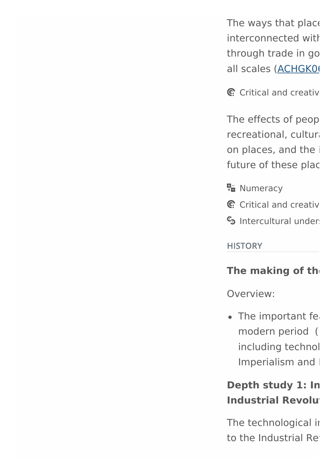The ways that place interconnected with through trade in go all scales (ACHGK0)

 $C$  Critical and [creative](https://k10outline.scsa.wa.edu.au/home/teaching/curriculum-browser/humanities-and-social-sciences/year-9#)

The effects of peop recreational, cultura on places, and the i future of these plac

 $\frac{\mathbf{E}}{\mathbf{x}}$  [Numeracy](https://k10outline.scsa.wa.edu.au/home/teaching/curriculum-browser/humanities-and-social-sciences/year-9#)

- $C$  Critical and [creative](https://k10outline.scsa.wa.edu.au/home/teaching/curriculum-browser/humanities-and-social-sciences/year-9#)
- $S<sub>o</sub>$  Intercultural [understanding](https://k10outline.scsa.wa.edu.au/home/teaching/curriculum-browser/humanities-and-social-sciences/year-9#)

**HISTORY** 

#### **The making of the**

Overview:

 $\bullet$  The important features modern period ( including technol Imperialism and I

### **Depth study 1: In Industrial Revolution**

The technological in to the Industrial Rev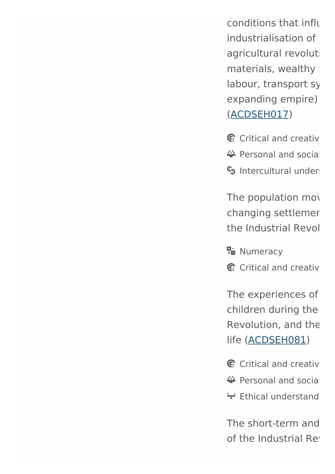conditions that influ industrialisation of agricultural revoluti materials, wealthy labour, transport sy expanding empire) [\(ACDSEH017\)](http://www.scootle.edu.au/ec/search?accContentId=ACDSEH017)

 $C$ : Critical and [creative](https://k10outline.scsa.wa.edu.au/home/teaching/curriculum-browser/humanities-and-social-sciences/year-9#)

- $\ddot{\bullet}$  Personal and social
- $S<sub>3</sub>$  Intercultural [understanding](https://k10outline.scsa.wa.edu.au/home/teaching/curriculum-browser/humanities-and-social-sciences/year-9#)

The population mov changing settlemer the Industrial Revol

**R<sub>E</sub>** [Numeracy](https://k10outline.scsa.wa.edu.au/home/teaching/curriculum-browser/humanities-and-social-sciences/year-9#)

 $C$  Critical and [creative](https://k10outline.scsa.wa.edu.au/home/teaching/curriculum-browser/humanities-and-social-sciences/year-9#)

The experiences of children during the Revolution, and the life [\(ACDSEH081\)](http://www.scootle.edu.au/ec/search?accContentId=ACDSEH081)

- $C$  Critical and [creative](https://k10outline.scsa.wa.edu.au/home/teaching/curriculum-browser/humanities-and-social-sciences/year-9#)
- $\ddot{\bullet}$  Personal and social
- $\div$  Ethical understand

The short-term and of the Industrial Rev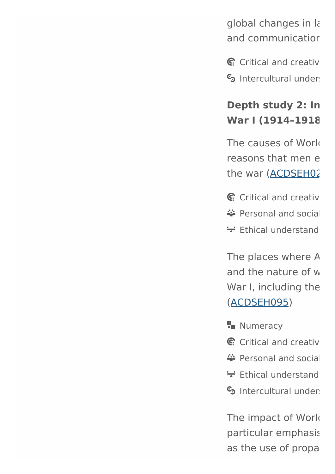global changes in la and communication

 $C$  Critical and [creative](https://k10outline.scsa.wa.edu.au/home/teaching/curriculum-browser/humanities-and-social-sciences/year-9#)

 $S<sub>o</sub>$  Intercultural under

## **Depth study 2: In War I (1914–1918)**

The causes of World reasons that men e the war (ACDSEH02

- $C$  Critical and [creative](https://k10outline.scsa.wa.edu.au/home/teaching/curriculum-browser/humanities-and-social-sciences/year-9#)
- $\ddot{\bullet}$  Personal and social
- $\div$  Ethical understand

The places where A and the nature of w War I, including the [\(ACDSEH095\)](http://www.scootle.edu.au/ec/search?accContentId=ACDSEH095)

- **R<sub>E</sub>** [Numeracy](https://k10outline.scsa.wa.edu.au/home/teaching/curriculum-browser/humanities-and-social-sciences/year-9#)
- $C$  Critical and [creative](https://k10outline.scsa.wa.edu.au/home/teaching/curriculum-browser/humanities-and-social-sciences/year-9#)
- $\ddot{\bullet}$  Personal and social
- $\div$  Ethical understand
- $S<sub>3</sub>$  Intercultural [understanding](https://k10outline.scsa.wa.edu.au/home/teaching/curriculum-browser/humanities-and-social-sciences/year-9#)

The impact of Work particular emphasis as the use of propa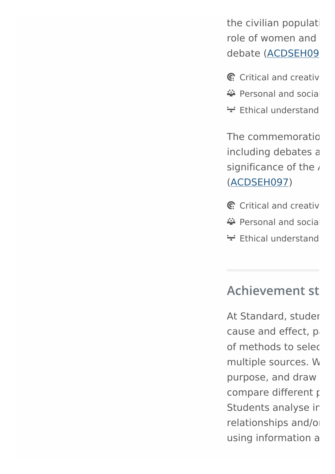the civilian populati role of women and debate (ACDSEH09

- $C$  Critical and [creative](https://k10outline.scsa.wa.edu.au/home/teaching/curriculum-browser/humanities-and-social-sciences/year-9#)
- $\ddot{\bullet}$  Personal and social
- $\div$  Ethical understand

The commemoration including debates a significance of the [\(ACDSEH097\)](http://www.scootle.edu.au/ec/search?accContentId=ACDSEH097)

- $C$  Critical and [creative](https://k10outline.scsa.wa.edu.au/home/teaching/curriculum-browser/humanities-and-social-sciences/year-9#)
- $\ddot{\bullet}$  Personal and social
- $\div$  Ethical understand

# **Achievement st**

At Standard, studer cause and effect, p of methods to select multiple sources. W purpose, and draw compare different points Students analyse ir relationships and/or using information a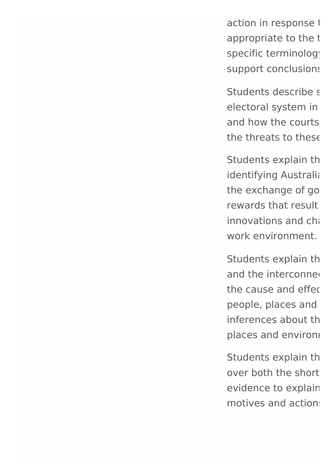action in response to appropriate to the t specific terminology support conclusions

Students describe s electoral system in and how the courts the threats to these

Students explain th identifying Australia the exchange of go rewards that result  $innovations and ch<sub>i</sub>$ work environment.

Students explain the and the interconnection the cause and effect people, places and inferences about the places and environi

Students explain th over both the short evidence to explain motives and actions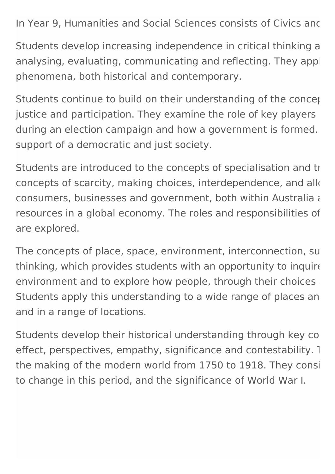In Year 9, Humanities and Social Sciences consists of Civics and

Students develop increasing independence in critical thinking a analysing, evaluating, communicating and reflecting. They apply phenomena, both historical and contemporary.

Students continue to build on their understanding of the concept justice and participation. They examine the role of key players during an election campaign and how a government is formed. support of a democratic and just society.

Students are introduced to the concepts of specialisation and trade while continuing to funderstanding to fund concepts of scarcity, making choices, interdependence, and allocation consumers, businesses and government, both within Australia and consumers, through the flow of government, both resources in a global economy. The roles and responsibilities of are explored.

The concepts of place, space, environment, interconnection, su thinking, which provides students with an opportunity to inquire environment and to explore how people, through their choices Students apply this understanding to a wide range of places an and in a range of locations.

Students develop their historical understanding through key co effect, perspectives, empathy, significance and contestability. 1 the making of the modern world from 1750 to 1918. They consider how new rew ideas and technology contributed ma to change in this period, and the significance of World War I.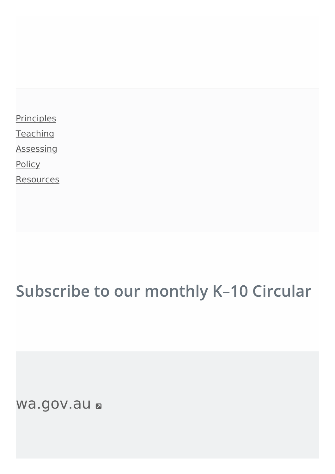**[Principles](https://k10outline.scsa.wa.edu.au/home/principles)** 

**[Teaching](https://k10outline.scsa.wa.edu.au/home/teaching)** 

**[Assessing](https://k10outline.scsa.wa.edu.au/home/assessment)** 

**[Policy](https://k10outline.scsa.wa.edu.au/home/policy)** 

**[Resources](https://k10outline.scsa.wa.edu.au/home/resources)** 

# Subscribe to our monthly K-10 Circular

[wa.gov.au](http://www.wa.gov.au/)